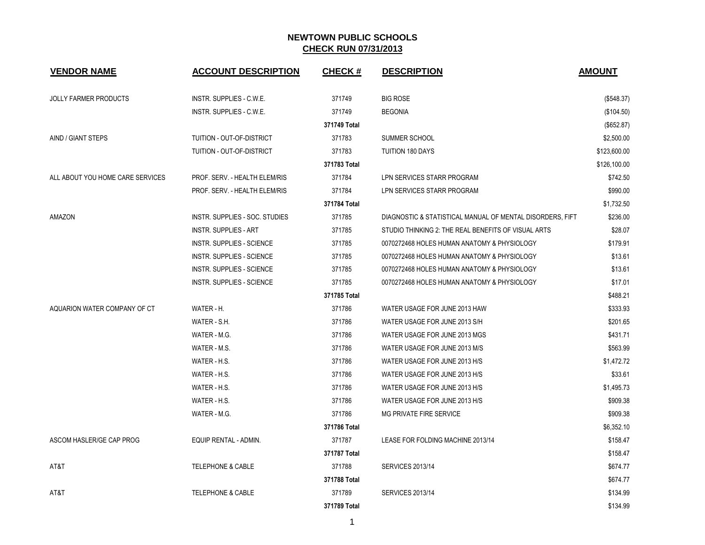| <b>VENDOR NAME</b>               | <b>ACCOUNT DESCRIPTION</b>       | <b>CHECK#</b> | <b>DESCRIPTION</b>                                        | <b>AMOUNT</b> |
|----------------------------------|----------------------------------|---------------|-----------------------------------------------------------|---------------|
| <b>JOLLY FARMER PRODUCTS</b>     | INSTR. SUPPLIES - C.W.E.         | 371749        | <b>BIG ROSE</b>                                           | (\$548.37)    |
|                                  | INSTR. SUPPLIES - C.W.E.         | 371749        | <b>BEGONIA</b>                                            | (\$104.50)    |
|                                  |                                  | 371749 Total  |                                                           | (\$652.87)    |
| AIND / GIANT STEPS               | TUITION - OUT-OF-DISTRICT        | 371783        | SUMMER SCHOOL                                             | \$2,500.00    |
|                                  | TUITION - OUT-OF-DISTRICT        | 371783        | <b>TUITION 180 DAYS</b>                                   | \$123,600.00  |
|                                  |                                  | 371783 Total  |                                                           | \$126,100.00  |
| ALL ABOUT YOU HOME CARE SERVICES | PROF. SERV. - HEALTH ELEM/RIS    | 371784        | LPN SERVICES STARR PROGRAM                                | \$742.50      |
|                                  | PROF. SERV. - HEALTH ELEM/RIS    | 371784        | LPN SERVICES STARR PROGRAM                                | \$990.00      |
|                                  |                                  | 371784 Total  |                                                           | \$1,732.50    |
| AMAZON                           | INSTR. SUPPLIES - SOC. STUDIES   | 371785        | DIAGNOSTIC & STATISTICAL MANUAL OF MENTAL DISORDERS, FIFT | \$236.00      |
|                                  | <b>INSTR. SUPPLIES - ART</b>     | 371785        | STUDIO THINKING 2: THE REAL BENEFITS OF VISUAL ARTS       | \$28.07       |
|                                  | <b>INSTR. SUPPLIES - SCIENCE</b> | 371785        | 0070272468 HOLES HUMAN ANATOMY & PHYSIOLOGY               | \$179.91      |
|                                  | <b>INSTR. SUPPLIES - SCIENCE</b> | 371785        | 0070272468 HOLES HUMAN ANATOMY & PHYSIOLOGY               | \$13.61       |
|                                  | <b>INSTR. SUPPLIES - SCIENCE</b> | 371785        | 0070272468 HOLES HUMAN ANATOMY & PHYSIOLOGY               | \$13.61       |
|                                  | <b>INSTR. SUPPLIES - SCIENCE</b> | 371785        | 0070272468 HOLES HUMAN ANATOMY & PHYSIOLOGY               | \$17.01       |
|                                  |                                  | 371785 Total  |                                                           | \$488.21      |
| AQUARION WATER COMPANY OF CT     | WATER - H.                       | 371786        | WATER USAGE FOR JUNE 2013 HAW                             | \$333.93      |
|                                  | WATER - S.H.                     | 371786        | WATER USAGE FOR JUNE 2013 S/H                             | \$201.65      |
|                                  | WATER - M.G.                     | 371786        | WATER USAGE FOR JUNE 2013 MGS                             | \$431.71      |
|                                  | WATER - M.S.                     | 371786        | WATER USAGE FOR JUNE 2013 M/S                             | \$563.99      |
|                                  | WATER - H.S.                     | 371786        | WATER USAGE FOR JUNE 2013 H/S                             | \$1,472.72    |
|                                  | WATER - H.S.                     | 371786        | WATER USAGE FOR JUNE 2013 H/S                             | \$33.61       |
|                                  | WATER - H.S.                     | 371786        | WATER USAGE FOR JUNE 2013 H/S                             | \$1,495.73    |
|                                  | WATER - H.S.                     | 371786        | WATER USAGE FOR JUNE 2013 H/S                             | \$909.38      |
|                                  | WATER - M.G.                     | 371786        | MG PRIVATE FIRE SERVICE                                   | \$909.38      |
|                                  |                                  | 371786 Total  |                                                           | \$6,352.10    |
| ASCOM HASLER/GE CAP PROG         | EQUIP RENTAL - ADMIN.            | 371787        | LEASE FOR FOLDING MACHINE 2013/14                         | \$158.47      |
|                                  |                                  | 371787 Total  |                                                           | \$158.47      |
| AT&T                             | <b>TELEPHONE &amp; CABLE</b>     | 371788        | <b>SERVICES 2013/14</b>                                   | \$674.77      |
|                                  |                                  | 371788 Total  |                                                           | \$674.77      |
| AT&T                             | <b>TELEPHONE &amp; CABLE</b>     | 371789        | <b>SERVICES 2013/14</b>                                   | \$134.99      |
|                                  |                                  | 371789 Total  |                                                           | \$134.99      |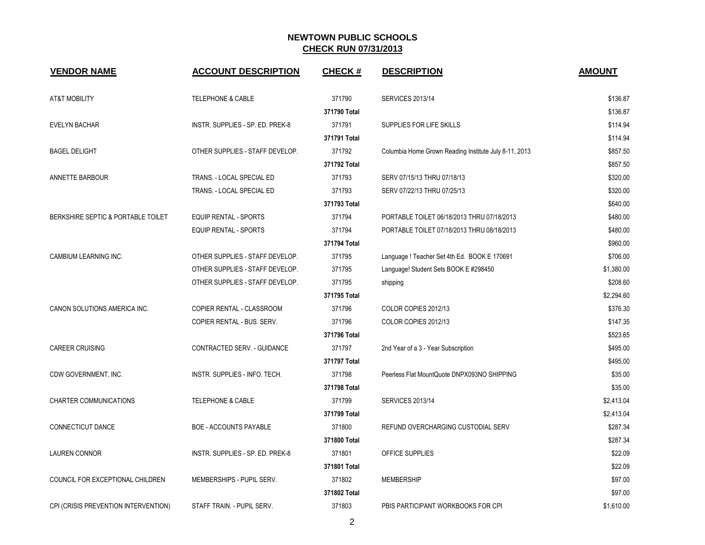| <b>VENDOR NAME</b>                   | <b>ACCOUNT DESCRIPTION</b>       | <b>CHECK#</b> | <b>DESCRIPTION</b>                                    | <b>AMOUNT</b> |
|--------------------------------------|----------------------------------|---------------|-------------------------------------------------------|---------------|
| <b>AT&amp;T MOBILITY</b>             | <b>TELEPHONE &amp; CABLE</b>     | 371790        | <b>SERVICES 2013/14</b>                               | \$136.87      |
|                                      |                                  | 371790 Total  |                                                       | \$136.87      |
| <b>EVELYN BACHAR</b>                 | INSTR. SUPPLIES - SP. ED. PREK-8 | 371791        | SUPPLIES FOR LIFE SKILLS                              | \$114.94      |
|                                      |                                  | 371791 Total  |                                                       | \$114.94      |
| <b>BAGEL DELIGHT</b>                 | OTHER SUPPLIES - STAFF DEVELOP.  | 371792        | Columbia Home Grown Reading Institute July 8-11, 2013 | \$857.50      |
|                                      |                                  | 371792 Total  |                                                       | \$857.50      |
| ANNETTE BARBOUR                      | TRANS. - LOCAL SPECIAL ED        | 371793        | SERV 07/15/13 THRU 07/18/13                           | \$320.00      |
|                                      | TRANS. - LOCAL SPECIAL ED        | 371793        | SERV 07/22/13 THRU 07/25/13                           | \$320.00      |
|                                      |                                  | 371793 Total  |                                                       | \$640.00      |
| BERKSHIRE SEPTIC & PORTABLE TOILET   | <b>EQUIP RENTAL - SPORTS</b>     | 371794        | PORTABLE TOILET 06/18/2013 THRU 07/18/2013            | \$480.00      |
|                                      | <b>EQUIP RENTAL - SPORTS</b>     | 371794        | PORTABLE TOILET 07/18/2013 THRU 08/18/2013            | \$480.00      |
|                                      |                                  | 371794 Total  |                                                       | \$960.00      |
| CAMBIUM LEARNING INC.                | OTHER SUPPLIES - STAFF DEVELOP.  | 371795        | Language ! Teacher Set 4th Ed. BOOK E 170691          | \$706.00      |
|                                      | OTHER SUPPLIES - STAFF DEVELOP.  | 371795        | Language! Student Sets BOOK E #298450                 | \$1,380.00    |
|                                      | OTHER SUPPLIES - STAFF DEVELOP.  | 371795        | shipping                                              | \$208.60      |
|                                      |                                  | 371795 Total  |                                                       | \$2,294.60    |
| CANON SOLUTIONS AMERICA INC.         | COPIER RENTAL - CLASSROOM        | 371796        | COLOR COPIES 2012/13                                  | \$376.30      |
|                                      | COPIER RENTAL - BUS. SERV.       | 371796        | COLOR COPIES 2012/13                                  | \$147.35      |
|                                      |                                  | 371796 Total  |                                                       | \$523.65      |
| <b>CAREER CRUISING</b>               | CONTRACTED SERV. - GUIDANCE      | 371797        | 2nd Year of a 3 - Year Subscription                   | \$495.00      |
|                                      |                                  | 371797 Total  |                                                       | \$495.00      |
| CDW GOVERNMENT, INC.                 | INSTR. SUPPLIES - INFO. TECH.    | 371798        | Peerless Flat MountQuote DNPX093NO SHIPPING           | \$35.00       |
|                                      |                                  | 371798 Total  |                                                       | \$35.00       |
| CHARTER COMMUNICATIONS               | TELEPHONE & CABLE                | 371799        | <b>SERVICES 2013/14</b>                               | \$2,413.04    |
|                                      |                                  | 371799 Total  |                                                       | \$2,413.04    |
| CONNECTICUT DANCE                    | BOE - ACCOUNTS PAYABLE           | 371800        | REFUND OVERCHARGING CUSTODIAL SERV                    | \$287.34      |
|                                      |                                  | 371800 Total  |                                                       | \$287.34      |
| <b>LAUREN CONNOR</b>                 | INSTR. SUPPLIES - SP. ED. PREK-8 | 371801        | OFFICE SUPPLIES                                       | \$22.09       |
|                                      |                                  | 371801 Total  |                                                       | \$22.09       |
| COUNCIL FOR EXCEPTIONAL CHILDREN     | MEMBERSHIPS - PUPIL SERV.        | 371802        | <b>MEMBERSHIP</b>                                     | \$97.00       |
|                                      |                                  | 371802 Total  |                                                       | \$97.00       |
| CPI (CRISIS PREVENTION INTERVENTION) | STAFF TRAIN. - PUPIL SERV.       | 371803        | PBIS PARTICIPANT WORKBOOKS FOR CPI                    | \$1,610.00    |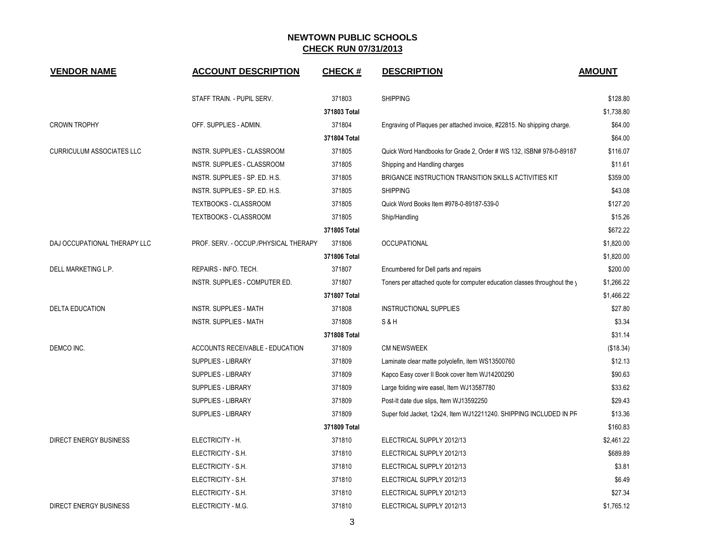| <b>VENDOR NAME</b>               | <b>ACCOUNT DESCRIPTION</b>            | <b>CHECK#</b> | <b>DESCRIPTION</b>                                                        | <b>AMOUNT</b> |
|----------------------------------|---------------------------------------|---------------|---------------------------------------------------------------------------|---------------|
|                                  | STAFF TRAIN. - PUPIL SERV.            | 371803        | <b>SHIPPING</b>                                                           | \$128.80      |
|                                  |                                       | 371803 Total  |                                                                           | \$1,738.80    |
| <b>CROWN TROPHY</b>              | OFF. SUPPLIES - ADMIN.                | 371804        | Engraving of Plaques per attached invoice, #22815. No shipping charge.    | \$64.00       |
|                                  |                                       | 371804 Total  |                                                                           | \$64.00       |
| <b>CURRICULUM ASSOCIATES LLC</b> | INSTR. SUPPLIES - CLASSROOM           | 371805        | Quick Word Handbooks for Grade 2, Order # WS 132, ISBN# 978-0-89187       | \$116.07      |
|                                  | INSTR. SUPPLIES - CLASSROOM           | 371805        | Shipping and Handling charges                                             | \$11.61       |
|                                  | INSTR. SUPPLIES - SP. ED. H.S.        | 371805        | BRIGANCE INSTRUCTION TRANSITION SKILLS ACTIVITIES KIT                     | \$359.00      |
|                                  | INSTR. SUPPLIES - SP. ED. H.S.        | 371805        | <b>SHIPPING</b>                                                           | \$43.08       |
|                                  | TEXTBOOKS - CLASSROOM                 | 371805        | Quick Word Books Item #978-0-89187-539-0                                  | \$127.20      |
|                                  | TEXTBOOKS - CLASSROOM                 | 371805        | Ship/Handling                                                             | \$15.26       |
|                                  |                                       | 371805 Total  |                                                                           | \$672.22      |
| DAJ OCCUPATIONAL THERAPY LLC     | PROF. SERV. - OCCUP./PHYSICAL THERAPY | 371806        | <b>OCCUPATIONAL</b>                                                       | \$1,820.00    |
|                                  |                                       | 371806 Total  |                                                                           | \$1,820.00    |
| DELL MARKETING L.P.              | REPAIRS - INFO. TECH.                 | 371807        | Encumbered for Dell parts and repairs                                     | \$200.00      |
|                                  | INSTR. SUPPLIES - COMPUTER ED.        | 371807        | Toners per attached quote for computer education classes throughout the y | \$1.266.22    |
|                                  |                                       | 371807 Total  |                                                                           | \$1,466.22    |
| <b>DELTA EDUCATION</b>           | INSTR. SUPPLIES - MATH                | 371808        | INSTRUCTIONAL SUPPLIES                                                    | \$27.80       |
|                                  | INSTR. SUPPLIES - MATH                | 371808        | S & H                                                                     | \$3.34        |
|                                  |                                       | 371808 Total  |                                                                           | \$31.14       |
| DEMCO INC.                       | ACCOUNTS RECEIVABLE - EDUCATION       | 371809        | <b>CM NEWSWEEK</b>                                                        | (\$18.34)     |
|                                  | <b>SUPPLIES - LIBRARY</b>             | 371809        | Laminate clear matte polyolefin, item WS13500760                          | \$12.13       |
|                                  | SUPPLIES - LIBRARY                    | 371809        | Kapco Easy cover II Book cover Item WJ14200290                            | \$90.63       |
|                                  | SUPPLIES - LIBRARY                    | 371809        | Large folding wire easel, Item WJ13587780                                 | \$33.62       |
|                                  | SUPPLIES - LIBRARY                    | 371809        | Post-It date due slips, Item WJ13592250                                   | \$29.43       |
|                                  | SUPPLIES - LIBRARY                    | 371809        | Super fold Jacket, 12x24, Item WJ12211240. SHIPPING INCLUDED IN PR        | \$13.36       |
|                                  |                                       | 371809 Total  |                                                                           | \$160.83      |
| DIRECT ENERGY BUSINESS           | ELECTRICITY - H.                      | 371810        | ELECTRICAL SUPPLY 2012/13                                                 | \$2,461.22    |
|                                  | ELECTRICITY - S.H.                    | 371810        | ELECTRICAL SUPPLY 2012/13                                                 | \$689.89      |
|                                  | ELECTRICITY - S.H.                    | 371810        | ELECTRICAL SUPPLY 2012/13                                                 | \$3.81        |
|                                  | ELECTRICITY - S.H.                    | 371810        | ELECTRICAL SUPPLY 2012/13                                                 | \$6.49        |
|                                  | ELECTRICITY - S.H.                    | 371810        | ELECTRICAL SUPPLY 2012/13                                                 | \$27.34       |
| DIRECT ENERGY BUSINESS           | ELECTRICITY - M.G.                    | 371810        | ELECTRICAL SUPPLY 2012/13                                                 | \$1,765.12    |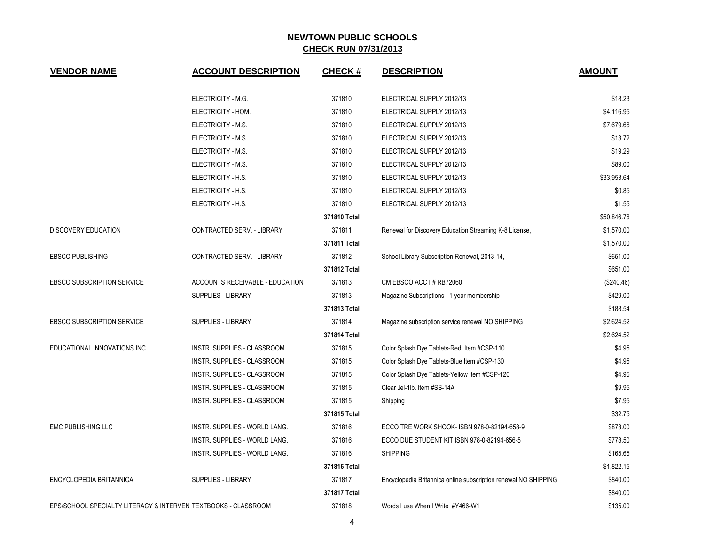| <b>VENDOR NAME</b>                                             | <b>ACCOUNT DESCRIPTION</b>             | <b>CHECK#</b> | <b>DESCRIPTION</b>                                              | <b>AMOUNT</b> |
|----------------------------------------------------------------|----------------------------------------|---------------|-----------------------------------------------------------------|---------------|
|                                                                | ELECTRICITY - M.G.                     | 371810        | ELECTRICAL SUPPLY 2012/13                                       | \$18.23       |
|                                                                | ELECTRICITY - HOM.                     | 371810        | ELECTRICAL SUPPLY 2012/13                                       | \$4,116.95    |
|                                                                | ELECTRICITY - M.S.                     | 371810        | ELECTRICAL SUPPLY 2012/13                                       | \$7,679.66    |
|                                                                | ELECTRICITY - M.S.                     | 371810        | ELECTRICAL SUPPLY 2012/13                                       | \$13.72       |
|                                                                | ELECTRICITY - M.S.                     | 371810        | ELECTRICAL SUPPLY 2012/13                                       | \$19.29       |
|                                                                | ELECTRICITY - M.S.                     | 371810        | ELECTRICAL SUPPLY 2012/13                                       | \$89.00       |
|                                                                | ELECTRICITY - H.S.                     | 371810        | ELECTRICAL SUPPLY 2012/13                                       | \$33,953.64   |
|                                                                | ELECTRICITY - H.S.                     | 371810        | ELECTRICAL SUPPLY 2012/13                                       | \$0.85        |
|                                                                | ELECTRICITY - H.S.                     | 371810        | ELECTRICAL SUPPLY 2012/13                                       | \$1.55        |
|                                                                |                                        | 371810 Total  |                                                                 | \$50.846.76   |
| DISCOVERY EDUCATION                                            | CONTRACTED SERV. - LIBRARY             | 371811        | Renewal for Discovery Education Streaming K-8 License,          | \$1,570.00    |
|                                                                |                                        | 371811 Total  |                                                                 | \$1,570.00    |
| <b>EBSCO PUBLISHING</b>                                        | CONTRACTED SERV. - LIBRARY             | 371812        | School Library Subscription Renewal, 2013-14,                   | \$651.00      |
|                                                                |                                        | 371812 Total  |                                                                 | \$651.00      |
| <b>EBSCO SUBSCRIPTION SERVICE</b>                              | <b>ACCOUNTS RECEIVABLE - EDUCATION</b> | 371813        | CM EBSCO ACCT#RB72060                                           | (\$240.46)    |
|                                                                | <b>SUPPLIES - LIBRARY</b>              | 371813        | Magazine Subscriptions - 1 year membership                      | \$429.00      |
|                                                                |                                        | 371813 Total  |                                                                 | \$188.54      |
| <b>EBSCO SUBSCRIPTION SERVICE</b>                              | <b>SUPPLIES - LIBRARY</b>              | 371814        | Magazine subscription service renewal NO SHIPPING               | \$2,624.52    |
|                                                                |                                        | 371814 Total  |                                                                 | \$2,624.52    |
| EDUCATIONAL INNOVATIONS INC.                                   | INSTR. SUPPLIES - CLASSROOM            | 371815        | Color Splash Dye Tablets-Red Item #CSP-110                      | \$4.95        |
|                                                                | INSTR. SUPPLIES - CLASSROOM            | 371815        | Color Splash Dye Tablets-Blue Item #CSP-130                     | \$4.95        |
|                                                                | INSTR. SUPPLIES - CLASSROOM            | 371815        | Color Splash Dye Tablets-Yellow Item #CSP-120                   | \$4.95        |
|                                                                | INSTR. SUPPLIES - CLASSROOM            | 371815        | Clear Jel-1lb. Item #SS-14A                                     | \$9.95        |
|                                                                | INSTR. SUPPLIES - CLASSROOM            | 371815        | Shipping                                                        | \$7.95        |
|                                                                |                                        | 371815 Total  |                                                                 | \$32.75       |
| <b>EMC PUBLISHING LLC</b>                                      | INSTR. SUPPLIES - WORLD LANG.          | 371816        | ECCO TRE WORK SHOOK- ISBN 978-0-82194-658-9                     | \$878.00      |
|                                                                | INSTR. SUPPLIES - WORLD LANG.          | 371816        | ECCO DUE STUDENT KIT ISBN 978-0-82194-656-5                     | \$778.50      |
|                                                                | INSTR. SUPPLIES - WORLD LANG.          | 371816        | <b>SHIPPING</b>                                                 | \$165.65      |
|                                                                |                                        | 371816 Total  |                                                                 | \$1,822.15    |
| ENCYCLOPEDIA BRITANNICA                                        | <b>SUPPLIES - LIBRARY</b>              | 371817        | Encyclopedia Britannica online subscription renewal NO SHIPPING | \$840.00      |
|                                                                |                                        | 371817 Total  |                                                                 | \$840.00      |
| EPS/SCHOOL SPECIALTY LITERACY & INTERVEN TEXTBOOKS - CLASSROOM |                                        | 371818        | Words I use When I Write #Y466-W1                               | \$135.00      |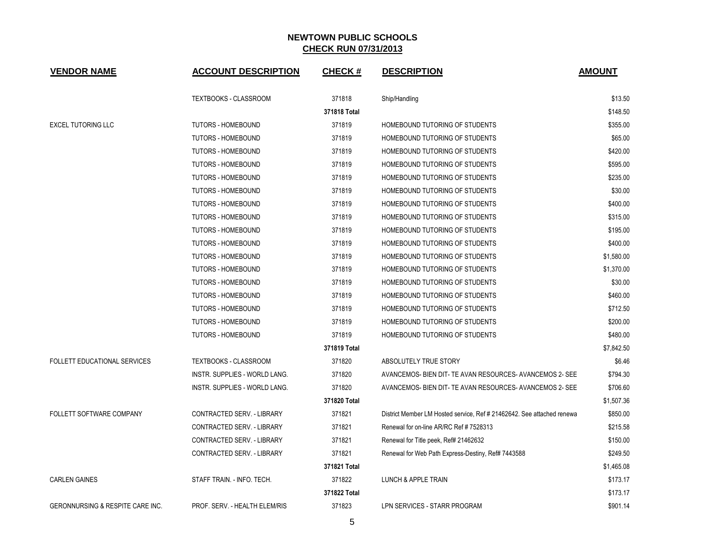| <b>VENDOR NAME</b>                  | <b>ACCOUNT DESCRIPTION</b>    | <b>CHECK#</b> | <b>DESCRIPTION</b>                                                     | <b>AMOUNT</b> |
|-------------------------------------|-------------------------------|---------------|------------------------------------------------------------------------|---------------|
|                                     | <b>TEXTBOOKS - CLASSROOM</b>  | 371818        | Ship/Handling                                                          | \$13.50       |
|                                     |                               | 371818 Total  |                                                                        | \$148.50      |
| <b>EXCEL TUTORING LLC</b>           | <b>TUTORS - HOMEBOUND</b>     | 371819        | HOMEBOUND TUTORING OF STUDENTS                                         | \$355.00      |
|                                     | <b>TUTORS - HOMEBOUND</b>     | 371819        | HOMEBOUND TUTORING OF STUDENTS                                         | \$65.00       |
|                                     | <b>TUTORS - HOMEBOUND</b>     | 371819        | HOMEBOUND TUTORING OF STUDENTS                                         | \$420.00      |
|                                     | <b>TUTORS - HOMEBOUND</b>     | 371819        | HOMEBOUND TUTORING OF STUDENTS                                         | \$595.00      |
|                                     | <b>TUTORS - HOMEBOUND</b>     | 371819        | HOMEBOUND TUTORING OF STUDENTS                                         | \$235.00      |
|                                     | <b>TUTORS - HOMEBOUND</b>     | 371819        | HOMEBOUND TUTORING OF STUDENTS                                         | \$30.00       |
|                                     | <b>TUTORS - HOMEBOUND</b>     | 371819        | HOMEBOUND TUTORING OF STUDENTS                                         | \$400.00      |
|                                     | <b>TUTORS - HOMEBOUND</b>     | 371819        | HOMEBOUND TUTORING OF STUDENTS                                         | \$315.00      |
|                                     | <b>TUTORS - HOMEBOUND</b>     | 371819        | HOMEBOUND TUTORING OF STUDENTS                                         | \$195.00      |
|                                     | TUTORS - HOMEBOUND            | 371819        | HOMEBOUND TUTORING OF STUDENTS                                         | \$400.00      |
|                                     | <b>TUTORS - HOMEBOUND</b>     | 371819        | HOMEBOUND TUTORING OF STUDENTS                                         | \$1,580.00    |
|                                     | <b>TUTORS - HOMEBOUND</b>     | 371819        | HOMEBOUND TUTORING OF STUDENTS                                         | \$1,370.00    |
|                                     | <b>TUTORS - HOMEBOUND</b>     | 371819        | HOMEBOUND TUTORING OF STUDENTS                                         | \$30.00       |
|                                     | <b>TUTORS - HOMEBOUND</b>     | 371819        | HOMEBOUND TUTORING OF STUDENTS                                         | \$460.00      |
|                                     | TUTORS - HOMEBOUND            | 371819        | HOMEBOUND TUTORING OF STUDENTS                                         | \$712.50      |
|                                     | <b>TUTORS - HOMEBOUND</b>     | 371819        | HOMEBOUND TUTORING OF STUDENTS                                         | \$200.00      |
|                                     | <b>TUTORS - HOMEBOUND</b>     | 371819        | HOMEBOUND TUTORING OF STUDENTS                                         | \$480.00      |
|                                     |                               | 371819 Total  |                                                                        | \$7,842.50    |
| <b>FOLLETT EDUCATIONAL SERVICES</b> | <b>TEXTBOOKS - CLASSROOM</b>  | 371820        | ABSOLUTELY TRUE STORY                                                  | \$6.46        |
|                                     | INSTR. SUPPLIES - WORLD LANG. | 371820        | AVANCEMOS- BIEN DIT- TE AVAN RESOURCES- AVANCEMOS 2- SEE               | \$794.30      |
|                                     | INSTR. SUPPLIES - WORLD LANG. | 371820        | AVANCEMOS- BIEN DIT- TE AVAN RESOURCES- AVANCEMOS 2- SEE               | \$706.60      |
|                                     |                               | 371820 Total  |                                                                        | \$1,507.36    |
| FOLLETT SOFTWARE COMPANY            | CONTRACTED SERV. - LIBRARY    | 371821        | District Member LM Hosted service, Ref # 21462642. See attached renewa | \$850.00      |
|                                     | CONTRACTED SERV. - LIBRARY    | 371821        | Renewal for on-line AR/RC Ref # 7528313                                | \$215.58      |
|                                     | CONTRACTED SERV. - LIBRARY    | 371821        | Renewal for Title peek, Ref# 21462632                                  | \$150.00      |
|                                     | CONTRACTED SERV. - LIBRARY    | 371821        | Renewal for Web Path Express-Destiny, Ref# 7443588                     | \$249.50      |
|                                     |                               | 371821 Total  |                                                                        | \$1,465.08    |
| <b>CARLEN GAINES</b>                | STAFF TRAIN. - INFO. TECH.    | 371822        | LUNCH & APPLE TRAIN                                                    | \$173.17      |
|                                     |                               | 371822 Total  |                                                                        | \$173.17      |
| GERONNURSING & RESPITE CARE INC.    | PROF. SERV. - HEALTH ELEM/RIS | 371823        | LPN SERVICES - STARR PROGRAM                                           | \$901.14      |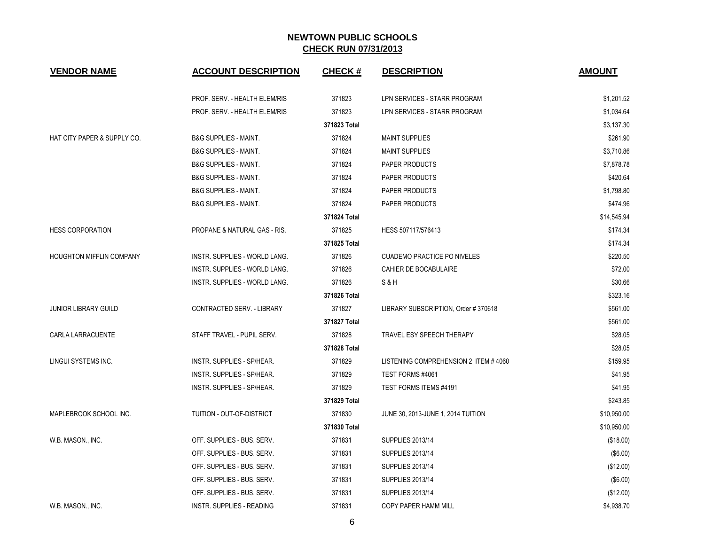| <b>VENDOR NAME</b>          | <b>ACCOUNT DESCRIPTION</b>           | <b>CHECK#</b> | <b>DESCRIPTION</b>                   | <b>AMOUNT</b> |
|-----------------------------|--------------------------------------|---------------|--------------------------------------|---------------|
|                             | PROF. SERV. - HEALTH ELEM/RIS        | 371823        | LPN SERVICES - STARR PROGRAM         | \$1,201.52    |
|                             | PROF. SERV. - HEALTH ELEM/RIS        | 371823        | LPN SERVICES - STARR PROGRAM         | \$1,034.64    |
|                             |                                      | 371823 Total  |                                      | \$3,137.30    |
| HAT CITY PAPER & SUPPLY CO. | <b>B&amp;G SUPPLIES - MAINT.</b>     | 371824        | <b>MAINT SUPPLIES</b>                | \$261.90      |
|                             | <b>B&amp;G SUPPLIES - MAINT.</b>     | 371824        | <b>MAINT SUPPLIES</b>                | \$3,710.86    |
|                             | <b>B&amp;G SUPPLIES - MAINT.</b>     | 371824        | PAPER PRODUCTS                       | \$7,878.78    |
|                             | <b>B&amp;G SUPPLIES - MAINT.</b>     | 371824        | PAPER PRODUCTS                       | \$420.64      |
|                             | <b>B&amp;G SUPPLIES - MAINT.</b>     | 371824        | PAPER PRODUCTS                       | \$1,798.80    |
|                             | <b>B&amp;G SUPPLIES - MAINT.</b>     | 371824        | PAPER PRODUCTS                       | \$474.96      |
|                             |                                      | 371824 Total  |                                      | \$14,545.94   |
| <b>HESS CORPORATION</b>     | PROPANE & NATURAL GAS - RIS.         | 371825        | HESS 507117/576413                   | \$174.34      |
|                             |                                      | 371825 Total  |                                      | \$174.34      |
| HOUGHTON MIFFLIN COMPANY    | INSTR. SUPPLIES - WORLD LANG.        | 371826        | <b>CUADEMO PRACTICE PO NIVELES</b>   | \$220.50      |
|                             | <b>INSTR. SUPPLIES - WORLD LANG.</b> | 371826        | CAHIER DE BOCABULAIRE                | \$72.00       |
|                             | INSTR. SUPPLIES - WORLD LANG.        | 371826        | S&H                                  | \$30.66       |
|                             |                                      | 371826 Total  |                                      | \$323.16      |
| <b>JUNIOR LIBRARY GUILD</b> | CONTRACTED SERV. - LIBRARY           | 371827        | LIBRARY SUBSCRIPTION, Order #370618  | \$561.00      |
|                             |                                      | 371827 Total  |                                      | \$561.00      |
| CARLA LARRACUENTE           | STAFF TRAVEL - PUPIL SERV.           | 371828        | TRAVEL ESY SPEECH THERAPY            | \$28.05       |
|                             |                                      | 371828 Total  |                                      | \$28.05       |
| LINGUI SYSTEMS INC.         | INSTR. SUPPLIES - SP/HEAR.           | 371829        | LISTENING COMPREHENSION 2 ITEM #4060 | \$159.95      |
|                             | INSTR. SUPPLIES - SP/HEAR.           | 371829        | TEST FORMS #4061                     | \$41.95       |
|                             | INSTR. SUPPLIES - SP/HEAR.           | 371829        | TEST FORMS ITEMS #4191               | \$41.95       |
|                             |                                      | 371829 Total  |                                      | \$243.85      |
| MAPLEBROOK SCHOOL INC.      | TUITION - OUT-OF-DISTRICT            | 371830        | JUNE 30, 2013-JUNE 1, 2014 TUITION   | \$10,950.00   |
|                             |                                      | 371830 Total  |                                      | \$10,950.00   |
| W.B. MASON., INC.           | OFF. SUPPLIES - BUS. SERV.           | 371831        | <b>SUPPLIES 2013/14</b>              | (\$18.00)     |
|                             | OFF. SUPPLIES - BUS. SERV.           | 371831        | <b>SUPPLIES 2013/14</b>              | (\$6.00)      |
|                             | OFF. SUPPLIES - BUS. SERV.           | 371831        | <b>SUPPLIES 2013/14</b>              | (\$12.00)     |
|                             | OFF. SUPPLIES - BUS. SERV.           | 371831        | <b>SUPPLIES 2013/14</b>              | (\$6.00)      |
|                             | OFF. SUPPLIES - BUS. SERV.           | 371831        | <b>SUPPLIES 2013/14</b>              | (\$12.00)     |
| W.B. MASON., INC.           | INSTR. SUPPLIES - READING            | 371831        | COPY PAPER HAMM MILL                 | \$4,938.70    |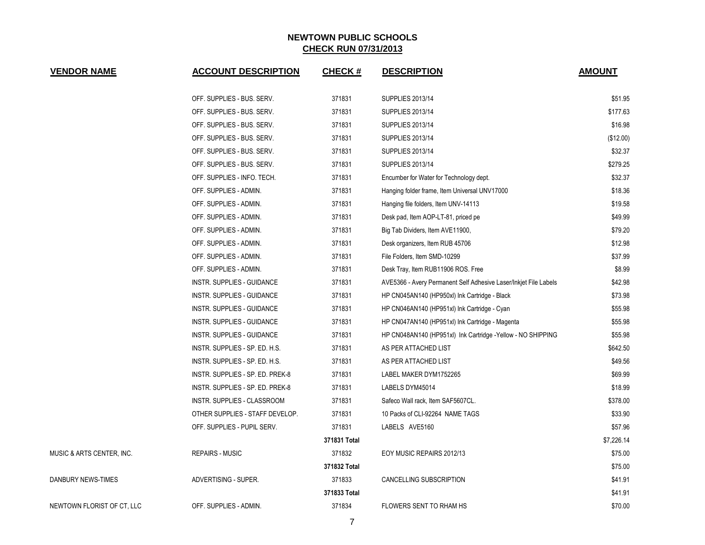| <b>VENDOR NAME</b>         | <b>ACCOUNT DESCRIPTION</b>       | <b>CHECK#</b> | <b>DESCRIPTION</b>                                               | <b>AMOUNT</b> |
|----------------------------|----------------------------------|---------------|------------------------------------------------------------------|---------------|
|                            | OFF. SUPPLIES - BUS. SERV.       | 371831        | SUPPLIES 2013/14                                                 | \$51.95       |
|                            | OFF. SUPPLIES - BUS. SERV.       | 371831        | <b>SUPPLIES 2013/14</b>                                          | \$177.63      |
|                            | OFF. SUPPLIES - BUS. SERV.       | 371831        | SUPPLIES 2013/14                                                 | \$16.98       |
|                            | OFF. SUPPLIES - BUS. SERV.       | 371831        | SUPPLIES 2013/14                                                 | (\$12.00)     |
|                            | OFF. SUPPLIES - BUS. SERV.       | 371831        | SUPPLIES 2013/14                                                 | \$32.37       |
|                            | OFF. SUPPLIES - BUS. SERV.       | 371831        | SUPPLIES 2013/14                                                 | \$279.25      |
|                            | OFF. SUPPLIES - INFO. TECH.      | 371831        | Encumber for Water for Technology dept.                          | \$32.37       |
|                            | OFF. SUPPLIES - ADMIN.           | 371831        | Hanging folder frame, Item Universal UNV17000                    | \$18.36       |
|                            | OFF. SUPPLIES - ADMIN.           | 371831        | Hanging file folders, Item UNV-14113                             | \$19.58       |
|                            | OFF. SUPPLIES - ADMIN.           | 371831        | Desk pad, Item AOP-LT-81, priced pe                              | \$49.99       |
|                            | OFF. SUPPLIES - ADMIN.           | 371831        | Big Tab Dividers, Item AVE11900,                                 | \$79.20       |
|                            | OFF. SUPPLIES - ADMIN.           | 371831        | Desk organizers, Item RUB 45706                                  | \$12.98       |
|                            | OFF. SUPPLIES - ADMIN.           | 371831        | File Folders, Item SMD-10299                                     | \$37.99       |
|                            | OFF. SUPPLIES - ADMIN.           | 371831        | Desk Tray, Item RUB11906 ROS. Free                               | \$8.99        |
|                            | INSTR. SUPPLIES - GUIDANCE       | 371831        | AVE5366 - Avery Permanent Self Adhesive Laser/Inkjet File Labels | \$42.98       |
|                            | INSTR. SUPPLIES - GUIDANCE       | 371831        | HP CN045AN140 (HP950xl) Ink Cartridge - Black                    | \$73.98       |
|                            | INSTR. SUPPLIES - GUIDANCE       | 371831        | HP CN046AN140 (HP951xl) Ink Cartridge - Cyan                     | \$55.98       |
|                            | INSTR. SUPPLIES - GUIDANCE       | 371831        | HP CN047AN140 (HP951xl) Ink Cartridge - Magenta                  | \$55.98       |
|                            | INSTR. SUPPLIES - GUIDANCE       | 371831        | HP CN048AN140 (HP951xl) Ink Cartridge - Yellow - NO SHIPPING     | \$55.98       |
|                            | INSTR. SUPPLIES - SP. ED. H.S.   | 371831        | AS PER ATTACHED LIST                                             | \$642.50      |
|                            | INSTR. SUPPLIES - SP. ED. H.S.   | 371831        | AS PER ATTACHED LIST                                             | \$49.56       |
|                            | INSTR. SUPPLIES - SP. ED. PREK-8 | 371831        | LABEL MAKER DYM1752265                                           | \$69.99       |
|                            | INSTR. SUPPLIES - SP. ED. PREK-8 | 371831        | LABELS DYM45014                                                  | \$18.99       |
|                            | INSTR. SUPPLIES - CLASSROOM      | 371831        | Safeco Wall rack, Item SAF5607CL.                                | \$378.00      |
|                            | OTHER SUPPLIES - STAFF DEVELOP.  | 371831        | 10 Packs of CLI-92264 NAME TAGS                                  | \$33.90       |
|                            | OFF. SUPPLIES - PUPIL SERV.      | 371831        | LABELS AVE5160                                                   | \$57.96       |
|                            |                                  | 371831 Total  |                                                                  | \$7,226.14    |
| MUSIC & ARTS CENTER, INC.  | REPAIRS - MUSIC                  | 371832        | EOY MUSIC REPAIRS 2012/13                                        | \$75.00       |
|                            |                                  | 371832 Total  |                                                                  | \$75.00       |
| DANBURY NEWS-TIMES         | ADVERTISING - SUPER.             | 371833        | CANCELLING SUBSCRIPTION                                          | \$41.91       |
|                            |                                  | 371833 Total  |                                                                  | \$41.91       |
| NEWTOWN FLORIST OF CT, LLC | OFF. SUPPLIES - ADMIN.           | 371834        | FLOWERS SENT TO RHAM HS                                          | \$70.00       |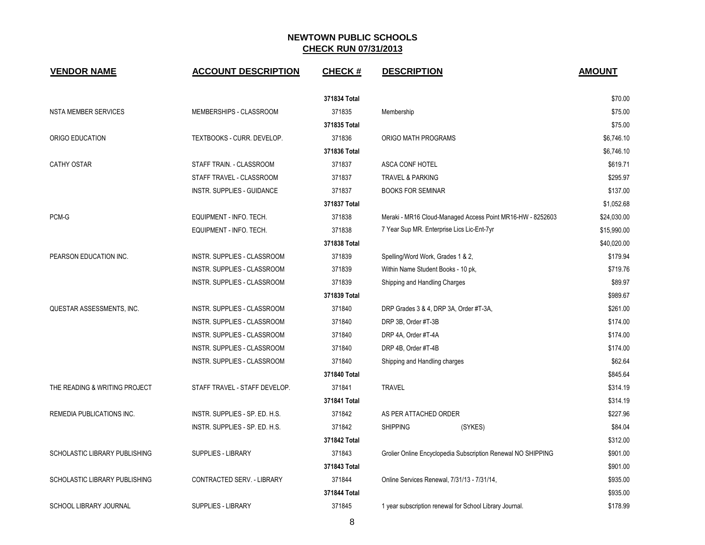| <b>VENDOR NAME</b>            | <b>ACCOUNT DESCRIPTION</b>         | <b>CHECK#</b> | <b>DESCRIPTION</b>                                           | <b>AMOUNT</b> |
|-------------------------------|------------------------------------|---------------|--------------------------------------------------------------|---------------|
|                               |                                    | 371834 Total  |                                                              | \$70.00       |
| <b>NSTA MEMBER SERVICES</b>   | MEMBERSHIPS - CLASSROOM            | 371835        | Membership                                                   | \$75.00       |
|                               |                                    | 371835 Total  |                                                              | \$75.00       |
| ORIGO EDUCATION               | TEXTBOOKS - CURR. DEVELOP.         | 371836        | ORIGO MATH PROGRAMS                                          | \$6,746.10    |
|                               |                                    | 371836 Total  |                                                              | \$6,746.10    |
| <b>CATHY OSTAR</b>            | STAFF TRAIN. - CLASSROOM           | 371837        | ASCA CONF HOTEL                                              | \$619.71      |
|                               | STAFF TRAVEL - CLASSROOM           | 371837        | <b>TRAVEL &amp; PARKING</b>                                  | \$295.97      |
|                               | INSTR. SUPPLIES - GUIDANCE         | 371837        | <b>BOOKS FOR SEMINAR</b>                                     | \$137.00      |
|                               |                                    | 371837 Total  |                                                              | \$1,052.68    |
| PCM-G                         | EQUIPMENT - INFO. TECH.            | 371838        | Meraki - MR16 Cloud-Managed Access Point MR16-HW - 8252603   | \$24,030.00   |
|                               | EQUIPMENT - INFO. TECH.            | 371838        | 7 Year Sup MR. Enterprise Lics Lic-Ent-7yr                   | \$15,990.00   |
|                               |                                    | 371838 Total  |                                                              | \$40,020.00   |
| PEARSON EDUCATION INC.        | INSTR. SUPPLIES - CLASSROOM        | 371839        | Spelling/Word Work, Grades 1 & 2,                            | \$179.94      |
|                               | INSTR. SUPPLIES - CLASSROOM        | 371839        | Within Name Student Books - 10 pk,                           | \$719.76      |
|                               | <b>INSTR. SUPPLIES - CLASSROOM</b> | 371839        | Shipping and Handling Charges                                | \$89.97       |
|                               |                                    | 371839 Total  |                                                              | \$989.67      |
| QUESTAR ASSESSMENTS, INC.     | INSTR. SUPPLIES - CLASSROOM        | 371840        | DRP Grades 3 & 4, DRP 3A, Order #T-3A,                       | \$261.00      |
|                               | INSTR. SUPPLIES - CLASSROOM        | 371840        | DRP 3B, Order #T-3B                                          | \$174.00      |
|                               | INSTR. SUPPLIES - CLASSROOM        | 371840        | DRP 4A, Order #T-4A                                          | \$174.00      |
|                               | INSTR. SUPPLIES - CLASSROOM        | 371840        | DRP 4B, Order #T-4B                                          | \$174.00      |
|                               | INSTR. SUPPLIES - CLASSROOM        | 371840        | Shipping and Handling charges                                | \$62.64       |
|                               |                                    | 371840 Total  |                                                              | \$845.64      |
| THE READING & WRITING PROJECT | STAFF TRAVEL - STAFF DEVELOP.      | 371841        | <b>TRAVEL</b>                                                | \$314.19      |
|                               |                                    | 371841 Total  |                                                              | \$314.19      |
| REMEDIA PUBLICATIONS INC.     | INSTR. SUPPLIES - SP. ED. H.S.     | 371842        | AS PER ATTACHED ORDER                                        | \$227.96      |
|                               | INSTR. SUPPLIES - SP. ED. H.S.     | 371842        | <b>SHIPPING</b><br>(SYKES)                                   | \$84.04       |
|                               |                                    | 371842 Total  |                                                              | \$312.00      |
| SCHOLASTIC LIBRARY PUBLISHING | <b>SUPPLIES - LIBRARY</b>          | 371843        | Grolier Online Encyclopedia Subscription Renewal NO SHIPPING | \$901.00      |
|                               |                                    | 371843 Total  |                                                              | \$901.00      |
| SCHOLASTIC LIBRARY PUBLISHING | CONTRACTED SERV. - LIBRARY         | 371844        | Online Services Renewal, 7/31/13 - 7/31/14,                  | \$935.00      |
|                               |                                    | 371844 Total  |                                                              | \$935.00      |
| SCHOOL LIBRARY JOURNAL        | <b>SUPPLIES - LIBRARY</b>          | 371845        | 1 year subscription renewal for School Library Journal.      | \$178.99      |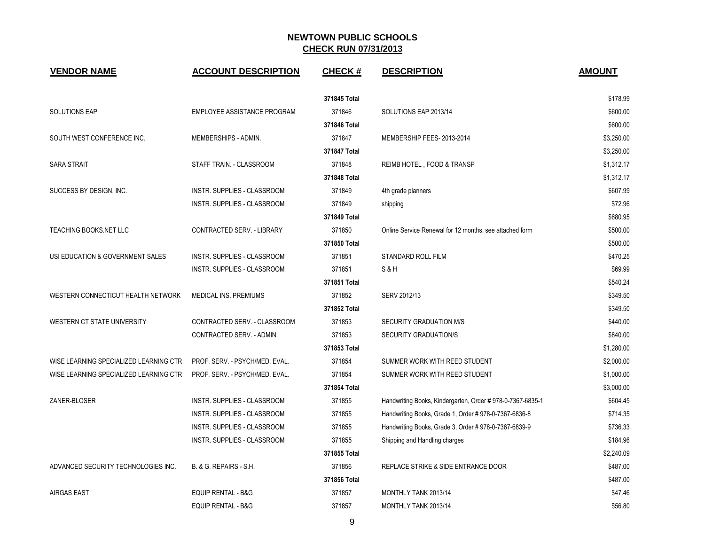| <b>VENDOR NAME</b>                     | <b>ACCOUNT DESCRIPTION</b>     | <b>CHECK#</b> | <b>DESCRIPTION</b>                                        | <b>AMOUNT</b> |
|----------------------------------------|--------------------------------|---------------|-----------------------------------------------------------|---------------|
|                                        |                                | 371845 Total  |                                                           | \$178.99      |
| SOLUTIONS EAP                          | EMPLOYEE ASSISTANCE PROGRAM    | 371846        | SOLUTIONS EAP 2013/14                                     | \$600.00      |
|                                        |                                | 371846 Total  |                                                           | \$600.00      |
| SOUTH WEST CONFERENCE INC.             | MEMBERSHIPS - ADMIN.           | 371847        | MEMBERSHIP FEES-2013-2014                                 | \$3,250.00    |
|                                        |                                | 371847 Total  |                                                           | \$3,250.00    |
| <b>SARA STRAIT</b>                     | STAFF TRAIN. - CLASSROOM       | 371848        | REIMB HOTEL, FOOD & TRANSP                                | \$1,312.17    |
|                                        |                                | 371848 Total  |                                                           | \$1,312.17    |
| SUCCESS BY DESIGN, INC.                | INSTR. SUPPLIES - CLASSROOM    | 371849        | 4th grade planners                                        | \$607.99      |
|                                        | INSTR. SUPPLIES - CLASSROOM    | 371849        | shipping                                                  | \$72.96       |
|                                        |                                | 371849 Total  |                                                           | \$680.95      |
| TEACHING BOOKS.NET LLC                 | CONTRACTED SERV. - LIBRARY     | 371850        | Online Service Renewal for 12 months, see attached form   | \$500.00      |
|                                        |                                | 371850 Total  |                                                           | \$500.00      |
| USI EDUCATION & GOVERNMENT SALES       | INSTR. SUPPLIES - CLASSROOM    | 371851        | STANDARD ROLL FILM                                        | \$470.25      |
|                                        | INSTR. SUPPLIES - CLASSROOM    | 371851        | S&H                                                       | \$69.99       |
|                                        |                                | 371851 Total  |                                                           | \$540.24      |
| WESTERN CONNECTICUT HEALTH NETWORK     | MEDICAL INS. PREMIUMS          | 371852        | SERV 2012/13                                              | \$349.50      |
|                                        |                                | 371852 Total  |                                                           | \$349.50      |
| WESTERN CT STATE UNIVERSITY            | CONTRACTED SERV. - CLASSROOM   | 371853        | SECURITY GRADUATION M/S                                   | \$440.00      |
|                                        | CONTRACTED SERV. - ADMIN.      | 371853        | <b>SECURITY GRADUATION/S</b>                              | \$840.00      |
|                                        |                                | 371853 Total  |                                                           | \$1,280.00    |
| WISE LEARNING SPECIALIZED LEARNING CTR | PROF. SERV. - PSYCH/MED. EVAL. | 371854        | SUMMER WORK WITH REED STUDENT                             | \$2,000.00    |
| WISE LEARNING SPECIALIZED LEARNING CTR | PROF. SERV. - PSYCH/MED. EVAL. | 371854        | SUMMER WORK WITH REED STUDENT                             | \$1,000.00    |
|                                        |                                | 371854 Total  |                                                           | \$3,000.00    |
| ZANER-BLOSER                           | INSTR. SUPPLIES - CLASSROOM    | 371855        | Handwriting Books, Kindergarten, Order #978-0-7367-6835-1 | \$604.45      |
|                                        | INSTR. SUPPLIES - CLASSROOM    | 371855        | Handwriting Books, Grade 1, Order # 978-0-7367-6836-8     | \$714.35      |
|                                        | INSTR. SUPPLIES - CLASSROOM    | 371855        | Handwriting Books, Grade 3, Order # 978-0-7367-6839-9     | \$736.33      |
|                                        | INSTR. SUPPLIES - CLASSROOM    | 371855        | Shipping and Handling charges                             | \$184.96      |
|                                        |                                | 371855 Total  |                                                           | \$2,240.09    |
| ADVANCED SECURITY TECHNOLOGIES INC.    | B. & G. REPAIRS - S.H.         | 371856        | REPLACE STRIKE & SIDE ENTRANCE DOOR                       | \$487.00      |
|                                        |                                | 371856 Total  |                                                           | \$487.00      |
| <b>AIRGAS EAST</b>                     | EQUIP RENTAL - B&G             | 371857        | MONTHLY TANK 2013/14                                      | \$47.46       |
|                                        | EQUIP RENTAL - B&G             | 371857        | MONTHLY TANK 2013/14                                      | \$56.80       |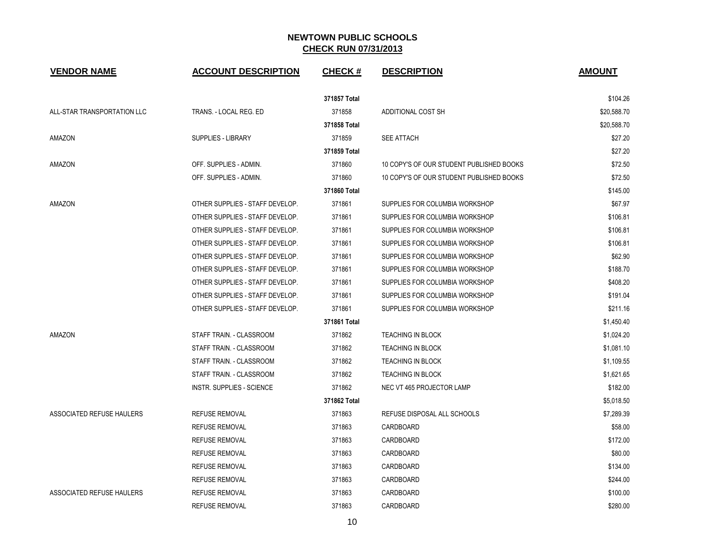| <b>VENDOR NAME</b>          | <b>ACCOUNT DESCRIPTION</b>       | <b>CHECK#</b> | <b>DESCRIPTION</b>                       | <b>AMOUNT</b> |
|-----------------------------|----------------------------------|---------------|------------------------------------------|---------------|
|                             |                                  | 371857 Total  |                                          | \$104.26      |
| ALL-STAR TRANSPORTATION LLC | TRANS. - LOCAL REG. ED           | 371858        | ADDITIONAL COST SH                       | \$20,588.70   |
|                             |                                  | 371858 Total  |                                          | \$20.588.70   |
| AMAZON                      | <b>SUPPLIES - LIBRARY</b>        | 371859        | <b>SEE ATTACH</b>                        | \$27.20       |
|                             |                                  | 371859 Total  |                                          | \$27.20       |
| AMAZON                      | OFF. SUPPLIES - ADMIN.           | 371860        | 10 COPY'S OF OUR STUDENT PUBLISHED BOOKS | \$72.50       |
|                             | OFF. SUPPLIES - ADMIN.           | 371860        | 10 COPY'S OF OUR STUDENT PUBLISHED BOOKS | \$72.50       |
|                             |                                  | 371860 Total  |                                          | \$145.00      |
| AMAZON                      | OTHER SUPPLIES - STAFF DEVELOP.  | 371861        | SUPPLIES FOR COLUMBIA WORKSHOP           | \$67.97       |
|                             | OTHER SUPPLIES - STAFF DEVELOP.  | 371861        | SUPPLIES FOR COLUMBIA WORKSHOP           | \$106.81      |
|                             | OTHER SUPPLIES - STAFF DEVELOP.  | 371861        | SUPPLIES FOR COLUMBIA WORKSHOP           | \$106.81      |
|                             | OTHER SUPPLIES - STAFF DEVELOP.  | 371861        | SUPPLIES FOR COLUMBIA WORKSHOP           | \$106.81      |
|                             | OTHER SUPPLIES - STAFF DEVELOP.  | 371861        | SUPPLIES FOR COLUMBIA WORKSHOP           | \$62.90       |
|                             | OTHER SUPPLIES - STAFF DEVELOP.  | 371861        | SUPPLIES FOR COLUMBIA WORKSHOP           | \$188.70      |
|                             | OTHER SUPPLIES - STAFF DEVELOP.  | 371861        | SUPPLIES FOR COLUMBIA WORKSHOP           | \$408.20      |
|                             | OTHER SUPPLIES - STAFF DEVELOP.  | 371861        | SUPPLIES FOR COLUMBIA WORKSHOP           | \$191.04      |
|                             | OTHER SUPPLIES - STAFF DEVELOP.  | 371861        | SUPPLIES FOR COLUMBIA WORKSHOP           | \$211.16      |
|                             |                                  | 371861 Total  |                                          | \$1,450.40    |
| AMAZON                      | STAFF TRAIN. - CLASSROOM         | 371862        | <b>TEACHING IN BLOCK</b>                 | \$1,024.20    |
|                             | STAFF TRAIN. - CLASSROOM         | 371862        | TEACHING IN BLOCK                        | \$1,081.10    |
|                             | STAFF TRAIN. - CLASSROOM         | 371862        | <b>TEACHING IN BLOCK</b>                 | \$1,109.55    |
|                             | STAFF TRAIN. - CLASSROOM         | 371862        | <b>TEACHING IN BLOCK</b>                 | \$1,621.65    |
|                             | <b>INSTR. SUPPLIES - SCIENCE</b> | 371862        | NEC VT 465 PROJECTOR LAMP                | \$182.00      |
|                             |                                  | 371862 Total  |                                          | \$5,018.50    |
| ASSOCIATED REFUSE HAULERS   | <b>REFUSE REMOVAL</b>            | 371863        | REFUSE DISPOSAL ALL SCHOOLS              | \$7,289.39    |
|                             | <b>REFUSE REMOVAL</b>            | 371863        | CARDBOARD                                | \$58.00       |
|                             | <b>REFUSE REMOVAL</b>            | 371863        | CARDBOARD                                | \$172.00      |
|                             | <b>REFUSE REMOVAL</b>            | 371863        | CARDBOARD                                | \$80.00       |
|                             | <b>REFUSE REMOVAL</b>            | 371863        | CARDBOARD                                | \$134.00      |
|                             | <b>REFUSE REMOVAL</b>            | 371863        | CARDBOARD                                | \$244.00      |
| ASSOCIATED REFUSE HAULERS   | <b>REFUSE REMOVAL</b>            | 371863        | CARDBOARD                                | \$100.00      |
|                             | <b>REFUSE REMOVAL</b>            | 371863        | CARDBOARD                                | \$280.00      |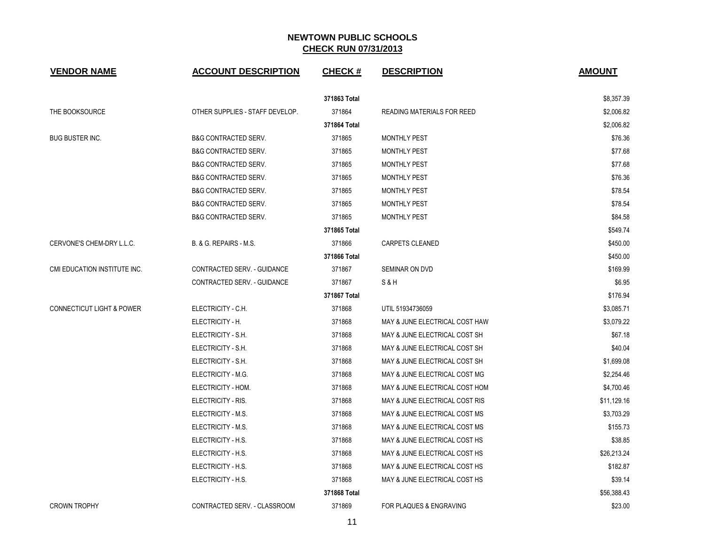| <b>VENDOR NAME</b>                   | <b>ACCOUNT DESCRIPTION</b>      | <b>CHECK#</b> | <b>DESCRIPTION</b>                | <b>AMOUNT</b> |
|--------------------------------------|---------------------------------|---------------|-----------------------------------|---------------|
|                                      |                                 | 371863 Total  |                                   | \$8,357.39    |
| THE BOOKSOURCE                       | OTHER SUPPLIES - STAFF DEVELOP. | 371864        | <b>READING MATERIALS FOR REED</b> | \$2,006.82    |
|                                      |                                 | 371864 Total  |                                   | \$2,006.82    |
| <b>BUG BUSTER INC.</b>               | <b>B&amp;G CONTRACTED SERV.</b> | 371865        | <b>MONTHLY PEST</b>               | \$76.36       |
|                                      | <b>B&amp;G CONTRACTED SERV.</b> | 371865        | <b>MONTHLY PEST</b>               | \$77.68       |
|                                      | <b>B&amp;G CONTRACTED SERV.</b> | 371865        | <b>MONTHLY PEST</b>               | \$77.68       |
|                                      | <b>B&amp;G CONTRACTED SERV.</b> | 371865        | <b>MONTHLY PEST</b>               | \$76.36       |
|                                      | <b>B&amp;G CONTRACTED SERV.</b> | 371865        | <b>MONTHLY PEST</b>               | \$78.54       |
|                                      | <b>B&amp;G CONTRACTED SERV.</b> | 371865        | <b>MONTHLY PEST</b>               | \$78.54       |
|                                      | <b>B&amp;G CONTRACTED SERV.</b> | 371865        | <b>MONTHLY PEST</b>               | \$84.58       |
|                                      |                                 | 371865 Total  |                                   | \$549.74      |
| CERVONE'S CHEM-DRY L.L.C.            | B. & G. REPAIRS - M.S.          | 371866        | <b>CARPETS CLEANED</b>            | \$450.00      |
|                                      |                                 | 371866 Total  |                                   | \$450.00      |
| CMI EDUCATION INSTITUTE INC.         | CONTRACTED SERV. - GUIDANCE     | 371867        | SEMINAR ON DVD                    | \$169.99      |
|                                      | CONTRACTED SERV. - GUIDANCE     | 371867        | S & H                             | \$6.95        |
|                                      |                                 | 371867 Total  |                                   | \$176.94      |
| <b>CONNECTICUT LIGHT &amp; POWER</b> | ELECTRICITY - C.H.              | 371868        | UTIL 51934736059                  | \$3,085.71    |
|                                      | ELECTRICITY - H.                | 371868        | MAY & JUNE ELECTRICAL COST HAW    | \$3,079.22    |
|                                      | ELECTRICITY - S.H.              | 371868        | MAY & JUNE ELECTRICAL COST SH     | \$67.18       |
|                                      | ELECTRICITY - S.H.              | 371868        | MAY & JUNE ELECTRICAL COST SH     | \$40.04       |
|                                      | ELECTRICITY - S.H.              | 371868        | MAY & JUNE ELECTRICAL COST SH     | \$1,699.08    |
|                                      | ELECTRICITY - M.G.              | 371868        | MAY & JUNE ELECTRICAL COST MG     | \$2.254.46    |
|                                      | ELECTRICITY - HOM.              | 371868        | MAY & JUNE ELECTRICAL COST HOM    | \$4,700.46    |
|                                      | ELECTRICITY - RIS.              | 371868        | MAY & JUNE ELECTRICAL COST RIS    | \$11,129.16   |
|                                      | ELECTRICITY - M.S.              | 371868        | MAY & JUNE ELECTRICAL COST MS     | \$3,703.29    |
|                                      | ELECTRICITY - M.S.              | 371868        | MAY & JUNE ELECTRICAL COST MS     | \$155.73      |
|                                      | ELECTRICITY - H.S.              | 371868        | MAY & JUNE ELECTRICAL COST HS     | \$38.85       |
|                                      | ELECTRICITY - H.S.              | 371868        | MAY & JUNE ELECTRICAL COST HS     | \$26,213.24   |
|                                      | ELECTRICITY - H.S.              | 371868        | MAY & JUNE ELECTRICAL COST HS     | \$182.87      |
|                                      | ELECTRICITY - H.S.              | 371868        | MAY & JUNE ELECTRICAL COST HS     | \$39.14       |
|                                      |                                 | 371868 Total  |                                   | \$56,388.43   |
| <b>CROWN TROPHY</b>                  | CONTRACTED SERV. - CLASSROOM    | 371869        | FOR PLAQUES & ENGRAVING           | \$23.00       |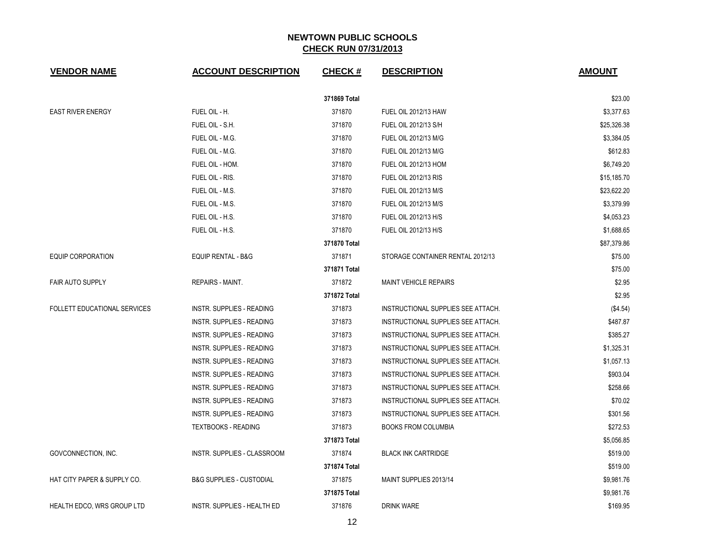| <b>VENDOR NAME</b>                  | <b>ACCOUNT DESCRIPTION</b>          | <b>CHECK#</b> | <b>DESCRIPTION</b>                 | <b>AMOUNT</b> |
|-------------------------------------|-------------------------------------|---------------|------------------------------------|---------------|
|                                     |                                     | 371869 Total  |                                    | \$23.00       |
| <b>EAST RIVER ENERGY</b>            | FUEL OIL - H.                       | 371870        | <b>FUEL OIL 2012/13 HAW</b>        | \$3,377.63    |
|                                     | FUEL OIL - S.H.                     | 371870        | FUEL OIL 2012/13 S/H               | \$25,326.38   |
|                                     | FUEL OIL - M.G.                     | 371870        | FUEL OIL 2012/13 M/G               | \$3,384.05    |
|                                     | FUEL OIL - M.G.                     | 371870        | FUEL OIL 2012/13 M/G               | \$612.83      |
|                                     | FUEL OIL - HOM.                     | 371870        | <b>FUEL OIL 2012/13 HOM</b>        | \$6,749.20    |
|                                     | FUEL OIL - RIS.                     | 371870        | <b>FUEL OIL 2012/13 RIS</b>        | \$15,185.70   |
|                                     | FUEL OIL - M.S.                     | 371870        | FUEL OIL 2012/13 M/S               | \$23,622.20   |
|                                     | FUEL OIL - M.S.                     | 371870        | <b>FUEL OIL 2012/13 M/S</b>        | \$3,379.99    |
|                                     | FUEL OIL - H.S.                     | 371870        | FUEL OIL 2012/13 H/S               | \$4,053.23    |
|                                     | FUEL OIL - H.S.                     | 371870        | FUEL OIL 2012/13 H/S               | \$1,688.65    |
|                                     |                                     | 371870 Total  |                                    | \$87,379.86   |
| <b>EQUIP CORPORATION</b>            | <b>EQUIP RENTAL - B&amp;G</b>       | 371871        | STORAGE CONTAINER RENTAL 2012/13   | \$75.00       |
|                                     |                                     | 371871 Total  |                                    | \$75.00       |
| <b>FAIR AUTO SUPPLY</b>             | REPAIRS - MAINT.                    | 371872        | <b>MAINT VEHICLE REPAIRS</b>       | \$2.95        |
|                                     |                                     | 371872 Total  |                                    | \$2.95        |
| <b>FOLLETT EDUCATIONAL SERVICES</b> | INSTR. SUPPLIES - READING           | 371873        | INSTRUCTIONAL SUPPLIES SEE ATTACH. | (\$4.54)      |
|                                     | INSTR. SUPPLIES - READING           | 371873        | INSTRUCTIONAL SUPPLIES SEE ATTACH. | \$487.87      |
|                                     | INSTR. SUPPLIES - READING           | 371873        | INSTRUCTIONAL SUPPLIES SEE ATTACH. | \$385.27      |
|                                     | INSTR. SUPPLIES - READING           | 371873        | INSTRUCTIONAL SUPPLIES SEE ATTACH. | \$1,325.31    |
|                                     | INSTR. SUPPLIES - READING           | 371873        | INSTRUCTIONAL SUPPLIES SEE ATTACH. | \$1,057.13    |
|                                     | INSTR. SUPPLIES - READING           | 371873        | INSTRUCTIONAL SUPPLIES SEE ATTACH. | \$903.04      |
|                                     | INSTR. SUPPLIES - READING           | 371873        | INSTRUCTIONAL SUPPLIES SEE ATTACH. | \$258.66      |
|                                     | INSTR. SUPPLIES - READING           | 371873        | INSTRUCTIONAL SUPPLIES SEE ATTACH. | \$70.02       |
|                                     | <b>INSTR. SUPPLIES - READING</b>    | 371873        | INSTRUCTIONAL SUPPLIES SEE ATTACH. | \$301.56      |
|                                     | <b>TEXTBOOKS - READING</b>          | 371873        | <b>BOOKS FROM COLUMBIA</b>         | \$272.53      |
|                                     |                                     | 371873 Total  |                                    | \$5,056.85    |
| GOVCONNECTION, INC.                 | INSTR. SUPPLIES - CLASSROOM         | 371874        | <b>BLACK INK CARTRIDGE</b>         | \$519.00      |
|                                     |                                     | 371874 Total  |                                    | \$519.00      |
| HAT CITY PAPER & SUPPLY CO.         | <b>B&amp;G SUPPLIES - CUSTODIAL</b> | 371875        | MAINT SUPPLIES 2013/14             | \$9,981.76    |
|                                     |                                     | 371875 Total  |                                    | \$9,981.76    |
| <b>HEALTH EDCO, WRS GROUP LTD</b>   | INSTR. SUPPLIES - HEALTH ED         | 371876        | <b>DRINK WARE</b>                  | \$169.95      |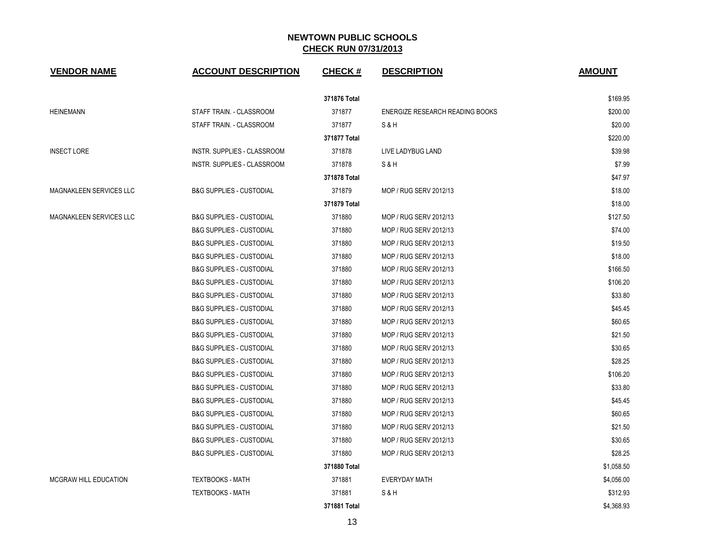| <b>VENDOR NAME</b>             | <b>ACCOUNT DESCRIPTION</b>          | <b>CHECK#</b> | <b>DESCRIPTION</b>              | <b>AMOUNT</b> |
|--------------------------------|-------------------------------------|---------------|---------------------------------|---------------|
|                                |                                     | 371876 Total  |                                 | \$169.95      |
| <b>HEINEMANN</b>               | STAFF TRAIN. - CLASSROOM            | 371877        | ENERGIZE RESEARCH READING BOOKS | \$200.00      |
|                                | STAFF TRAIN. - CLASSROOM            | 371877        | S & H                           | \$20.00       |
|                                |                                     | 371877 Total  |                                 | \$220.00      |
| <b>INSECT LORE</b>             | INSTR. SUPPLIES - CLASSROOM         | 371878        | LIVE LADYBUG LAND               | \$39.98       |
|                                | INSTR. SUPPLIES - CLASSROOM         | 371878        | S&H                             | \$7.99        |
|                                |                                     | 371878 Total  |                                 | \$47.97       |
| MAGNAKLEEN SERVICES LLC        | <b>B&amp;G SUPPLIES - CUSTODIAL</b> | 371879        | MOP / RUG SERV 2012/13          | \$18.00       |
|                                |                                     | 371879 Total  |                                 | \$18.00       |
| <b>MAGNAKLEEN SERVICES LLC</b> | <b>B&amp;G SUPPLIES - CUSTODIAL</b> | 371880        | MOP / RUG SERV 2012/13          | \$127.50      |
|                                | <b>B&amp;G SUPPLIES - CUSTODIAL</b> | 371880        | MOP / RUG SERV 2012/13          | \$74.00       |
|                                | <b>B&amp;G SUPPLIES - CUSTODIAL</b> | 371880        | MOP / RUG SERV 2012/13          | \$19.50       |
|                                | <b>B&amp;G SUPPLIES - CUSTODIAL</b> | 371880        | MOP / RUG SERV 2012/13          | \$18.00       |
|                                | <b>B&amp;G SUPPLIES - CUSTODIAL</b> | 371880        | MOP / RUG SERV 2012/13          | \$166.50      |
|                                | <b>B&amp;G SUPPLIES - CUSTODIAL</b> | 371880        | MOP / RUG SERV 2012/13          | \$106.20      |
|                                | <b>B&amp;G SUPPLIES - CUSTODIAL</b> | 371880        | MOP / RUG SERV 2012/13          | \$33.80       |
|                                | <b>B&amp;G SUPPLIES - CUSTODIAL</b> | 371880        | MOP / RUG SERV 2012/13          | \$45.45       |
|                                | <b>B&amp;G SUPPLIES - CUSTODIAL</b> | 371880        | MOP / RUG SERV 2012/13          | \$60.65       |
|                                | <b>B&amp;G SUPPLIES - CUSTODIAL</b> | 371880        | MOP / RUG SERV 2012/13          | \$21.50       |
|                                | <b>B&amp;G SUPPLIES - CUSTODIAL</b> | 371880        | MOP / RUG SERV 2012/13          | \$30.65       |
|                                | <b>B&amp;G SUPPLIES - CUSTODIAL</b> | 371880        | MOP / RUG SERV 2012/13          | \$28.25       |
|                                | <b>B&amp;G SUPPLIES - CUSTODIAL</b> | 371880        | MOP / RUG SERV 2012/13          | \$106.20      |
|                                | <b>B&amp;G SUPPLIES - CUSTODIAL</b> | 371880        | MOP / RUG SERV 2012/13          | \$33.80       |
|                                | <b>B&amp;G SUPPLIES - CUSTODIAL</b> | 371880        | MOP / RUG SERV 2012/13          | \$45.45       |
|                                | <b>B&amp;G SUPPLIES - CUSTODIAL</b> | 371880        | MOP / RUG SERV 2012/13          | \$60.65       |
|                                | <b>B&amp;G SUPPLIES - CUSTODIAL</b> | 371880        | MOP / RUG SERV 2012/13          | \$21.50       |
|                                | <b>B&amp;G SUPPLIES - CUSTODIAL</b> | 371880        | MOP / RUG SERV 2012/13          | \$30.65       |
|                                | <b>B&amp;G SUPPLIES - CUSTODIAL</b> | 371880        | MOP / RUG SERV 2012/13          | \$28.25       |
|                                |                                     | 371880 Total  |                                 | \$1,058.50    |
| MCGRAW HILL EDUCATION          | <b>TEXTBOOKS - MATH</b>             | 371881        | <b>EVERYDAY MATH</b>            | \$4,056.00    |
|                                | <b>TEXTBOOKS - MATH</b>             | 371881        | S & H                           | \$312.93      |
|                                |                                     | 371881 Total  |                                 | \$4,368.93    |